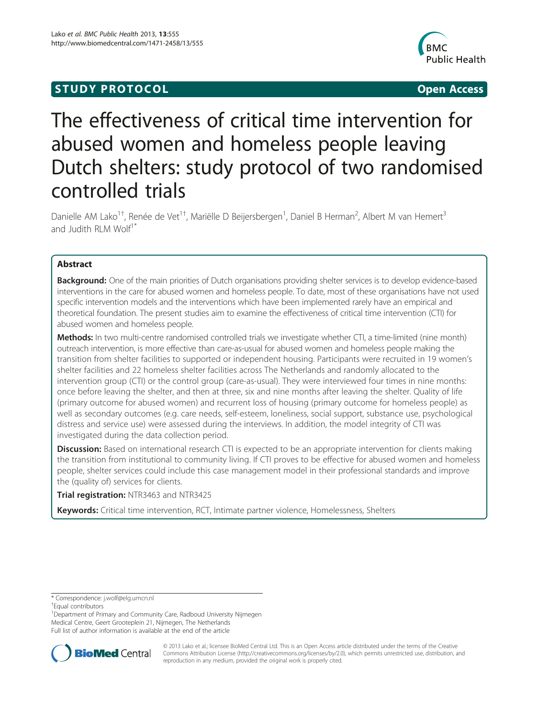# **STUDY PROTOCOL CONSUMING THE RESERVE ACCESS**



# The effectiveness of critical time intervention for abused women and homeless people leaving Dutch shelters: study protocol of two randomised controlled trials

Danielle AM Lako<sup>1†</sup>, Renée de Vet<sup>1†</sup>, Mariëlle D Beijersbergen<sup>1</sup>, Daniel B Herman<sup>2</sup>, Albert M van Hemert<sup>3</sup> and Judith RLM Wolf<sup>1\*</sup>

# Abstract

Background: One of the main priorities of Dutch organisations providing shelter services is to develop evidence-based interventions in the care for abused women and homeless people. To date, most of these organisations have not used specific intervention models and the interventions which have been implemented rarely have an empirical and theoretical foundation. The present studies aim to examine the effectiveness of critical time intervention (CTI) for abused women and homeless people.

Methods: In two multi-centre randomised controlled trials we investigate whether CTI, a time-limited (nine month) outreach intervention, is more effective than care-as-usual for abused women and homeless people making the transition from shelter facilities to supported or independent housing. Participants were recruited in 19 women's shelter facilities and 22 homeless shelter facilities across The Netherlands and randomly allocated to the intervention group (CTI) or the control group (care-as-usual). They were interviewed four times in nine months: once before leaving the shelter, and then at three, six and nine months after leaving the shelter. Quality of life (primary outcome for abused women) and recurrent loss of housing (primary outcome for homeless people) as well as secondary outcomes (e.g. care needs, self-esteem, loneliness, social support, substance use, psychological distress and service use) were assessed during the interviews. In addition, the model integrity of CTI was investigated during the data collection period.

Discussion: Based on international research CTI is expected to be an appropriate intervention for clients making the transition from institutional to community living. If CTI proves to be effective for abused women and homeless people, shelter services could include this case management model in their professional standards and improve the (quality of) services for clients.

Trial registration: [NTR3463](http://www.trialregister.nl/trialreg/admin/rctview.asp?TC=3463) and [NTR3425](http://www.trialregister.nl/trialreg/admin/rctview.asp?TC=3425)

Keywords: Critical time intervention, RCT, Intimate partner violence, Homelessness, Shelters

<sup>1</sup>Department of Primary and Community Care, Radboud University Nijmegen Medical Centre, Geert Grooteplein 21, Nijmegen, The Netherlands Full list of author information is available at the end of the article



© 2013 Lako et al.; licensee BioMed Central Ltd. This is an Open Access article distributed under the terms of the Creative Commons Attribution License [\(http://creativecommons.org/licenses/by/2.0\)](http://creativecommons.org/licenses/by/2.0), which permits unrestricted use, distribution, and reproduction in any medium, provided the original work is properly cited.

<sup>\*</sup> Correspondence: [j.wolf@elg.umcn.nl](mailto:j.wolf@elg.umcn.nl) †

Equal contributors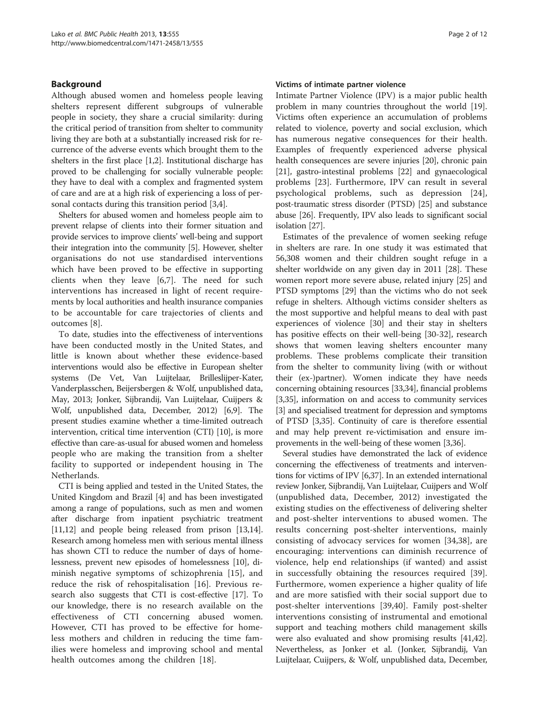# Background

Although abused women and homeless people leaving shelters represent different subgroups of vulnerable people in society, they share a crucial similarity: during the critical period of transition from shelter to community living they are both at a substantially increased risk for recurrence of the adverse events which brought them to the shelters in the first place [[1](#page-9-0),[2](#page-9-0)]. Institutional discharge has proved to be challenging for socially vulnerable people: they have to deal with a complex and fragmented system of care and are at a high risk of experiencing a loss of personal contacts during this transition period [[3,4](#page-9-0)].

Shelters for abused women and homeless people aim to prevent relapse of clients into their former situation and provide services to improve clients' well-being and support their integration into the community [\[5\]](#page-9-0). However, shelter organisations do not use standardised interventions which have been proved to be effective in supporting clients when they leave [[6,7\]](#page-9-0). The need for such interventions has increased in light of recent requirements by local authorities and health insurance companies to be accountable for care trajectories of clients and outcomes [[8\]](#page-9-0).

To date, studies into the effectiveness of interventions have been conducted mostly in the United States, and little is known about whether these evidence-based interventions would also be effective in European shelter systems (De Vet, Van Luijtelaar, Brilleslijper-Kater, Vanderplasschen, Beijersbergen & Wolf, unpublished data, May, 2013; Jonker, Sijbrandij, Van Luijtelaar, Cuijpers & Wolf, unpublished data, December, 2012) [[6,9](#page-9-0)]. The present studies examine whether a time-limited outreach intervention, critical time intervention (CTI) [\[10](#page-9-0)], is more effective than care-as-usual for abused women and homeless people who are making the transition from a shelter facility to supported or independent housing in The Netherlands.

CTI is being applied and tested in the United States, the United Kingdom and Brazil [\[4\]](#page-9-0) and has been investigated among a range of populations, such as men and women after discharge from inpatient psychiatric treatment [[11,12](#page-9-0)] and people being released from prison [\[13,14](#page-9-0)]. Research among homeless men with serious mental illness has shown CTI to reduce the number of days of homelessness, prevent new episodes of homelessness [\[10](#page-9-0)], diminish negative symptoms of schizophrenia [[15\]](#page-10-0), and reduce the risk of rehospitalisation [[16\]](#page-10-0). Previous research also suggests that CTI is cost-effective [\[17](#page-10-0)]. To our knowledge, there is no research available on the effectiveness of CTI concerning abused women. However, CTI has proved to be effective for homeless mothers and children in reducing the time families were homeless and improving school and mental health outcomes among the children [[18\]](#page-10-0).

#### Victims of intimate partner violence

Intimate Partner Violence (IPV) is a major public health problem in many countries throughout the world [\[19](#page-10-0)]. Victims often experience an accumulation of problems related to violence, poverty and social exclusion, which has numerous negative consequences for their health. Examples of frequently experienced adverse physical health consequences are severe injuries [[20](#page-10-0)], chronic pain [[21](#page-10-0)], gastro-intestinal problems [[22](#page-10-0)] and gynaecological problems [\[23](#page-10-0)]. Furthermore, IPV can result in several psychological problems, such as depression [\[24](#page-10-0)], post-traumatic stress disorder (PTSD) [\[25\]](#page-10-0) and substance abuse [[26](#page-10-0)]. Frequently, IPV also leads to significant social isolation [\[27\]](#page-10-0).

Estimates of the prevalence of women seeking refuge in shelters are rare. In one study it was estimated that 56,308 women and their children sought refuge in a shelter worldwide on any given day in 2011 [\[28](#page-10-0)]. These women report more severe abuse, related injury [[25](#page-10-0)] and PTSD symptoms [\[29\]](#page-10-0) than the victims who do not seek refuge in shelters. Although victims consider shelters as the most supportive and helpful means to deal with past experiences of violence [[30\]](#page-10-0) and their stay in shelters has positive effects on their well-being [\[30](#page-10-0)-[32\]](#page-10-0), research shows that women leaving shelters encounter many problems. These problems complicate their transition from the shelter to community living (with or without their (ex-)partner). Women indicate they have needs concerning obtaining resources [[33,34](#page-10-0)], financial problems [[3,](#page-9-0)[35](#page-10-0)], information on and access to community services [[3](#page-9-0)] and specialised treatment for depression and symptoms of PTSD [\[3](#page-9-0)[,35\]](#page-10-0). Continuity of care is therefore essential and may help prevent re-victimisation and ensure improvements in the well-being of these women [\[3,](#page-9-0)[36](#page-10-0)].

Several studies have demonstrated the lack of evidence concerning the effectiveness of treatments and interventions for victims of IPV [[6](#page-9-0)[,37\]](#page-10-0). In an extended international review Jonker, Sijbrandij, Van Luijtelaar, Cuijpers and Wolf (unpublished data, December, 2012) investigated the existing studies on the effectiveness of delivering shelter and post-shelter interventions to abused women. The results concerning post-shelter interventions, mainly consisting of advocacy services for women [\[34,38](#page-10-0)], are encouraging: interventions can diminish recurrence of violence, help end relationships (if wanted) and assist in successfully obtaining the resources required [\[39](#page-10-0)]. Furthermore, women experience a higher quality of life and are more satisfied with their social support due to post-shelter interventions [\[39,40](#page-10-0)]. Family post-shelter interventions consisting of instrumental and emotional support and teaching mothers child management skills were also evaluated and show promising results [\[41,42](#page-10-0)]. Nevertheless, as Jonker et al. (Jonker, Sijbrandij, Van Luijtelaar, Cuijpers, & Wolf, unpublished data, December,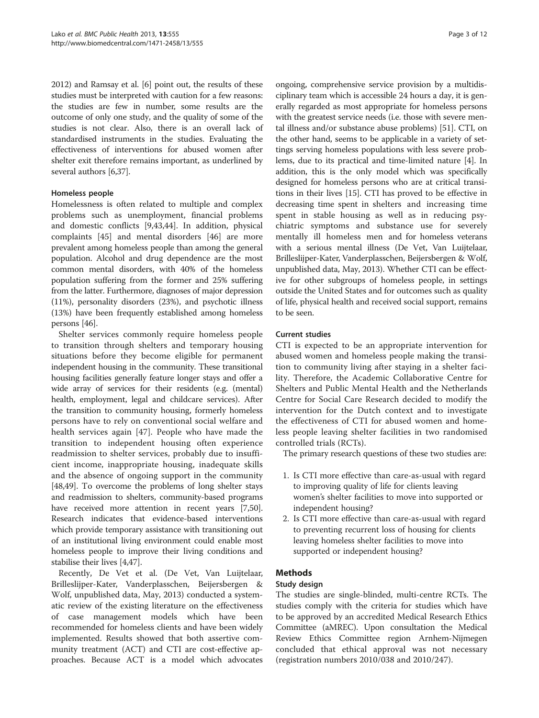2012) and Ramsay et al. [[6\]](#page-9-0) point out, the results of these studies must be interpreted with caution for a few reasons: the studies are few in number, some results are the outcome of only one study, and the quality of some of the studies is not clear. Also, there is an overall lack of standardised instruments in the studies. Evaluating the effectiveness of interventions for abused women after shelter exit therefore remains important, as underlined by several authors [\[6](#page-9-0)[,37\]](#page-10-0).

# Homeless people

Homelessness is often related to multiple and complex problems such as unemployment, financial problems and domestic conflicts [[9,](#page-9-0)[43,44\]](#page-10-0). In addition, physical complaints [[45\]](#page-10-0) and mental disorders [[46](#page-10-0)] are more prevalent among homeless people than among the general population. Alcohol and drug dependence are the most common mental disorders, with 40% of the homeless population suffering from the former and 25% suffering from the latter. Furthermore, diagnoses of major depression (11%), personality disorders (23%), and psychotic illness (13%) have been frequently established among homeless persons [\[46\]](#page-10-0).

Shelter services commonly require homeless people to transition through shelters and temporary housing situations before they become eligible for permanent independent housing in the community. These transitional housing facilities generally feature longer stays and offer a wide array of services for their residents (e.g. (mental) health, employment, legal and childcare services). After the transition to community housing, formerly homeless persons have to rely on conventional social welfare and health services again [\[47](#page-10-0)]. People who have made the transition to independent housing often experience readmission to shelter services, probably due to insufficient income, inappropriate housing, inadequate skills and the absence of ongoing support in the community [[48,49](#page-10-0)]. To overcome the problems of long shelter stays and readmission to shelters, community-based programs have received more attention in recent years [[7,](#page-9-0)[50](#page-10-0)]. Research indicates that evidence-based interventions which provide temporary assistance with transitioning out of an institutional living environment could enable most homeless people to improve their living conditions and stabilise their lives [\[4](#page-9-0)[,47\]](#page-10-0).

Recently, De Vet et al. (De Vet, Van Luijtelaar, Brilleslijper-Kater, Vanderplasschen, Beijersbergen & Wolf, unpublished data, May, 2013) conducted a systematic review of the existing literature on the effectiveness of case management models which have been recommended for homeless clients and have been widely implemented. Results showed that both assertive community treatment (ACT) and CTI are cost-effective approaches. Because ACT is a model which advocates

ongoing, comprehensive service provision by a multidisciplinary team which is accessible 24 hours a day, it is generally regarded as most appropriate for homeless persons with the greatest service needs (i.e. those with severe mental illness and/or substance abuse problems) [[51\]](#page-10-0). CTI, on the other hand, seems to be applicable in a variety of settings serving homeless populations with less severe problems, due to its practical and time-limited nature [\[4\]](#page-9-0). In addition, this is the only model which was specifically designed for homeless persons who are at critical transitions in their lives [[15](#page-10-0)]. CTI has proved to be effective in decreasing time spent in shelters and increasing time spent in stable housing as well as in reducing psychiatric symptoms and substance use for severely mentally ill homeless men and for homeless veterans with a serious mental illness (De Vet, Van Luijtelaar, Brilleslijper-Kater, Vanderplasschen, Beijersbergen & Wolf, unpublished data, May, 2013). Whether CTI can be effective for other subgroups of homeless people, in settings outside the United States and for outcomes such as quality of life, physical health and received social support, remains to be seen.

## Current studies

CTI is expected to be an appropriate intervention for abused women and homeless people making the transition to community living after staying in a shelter facility. Therefore, the Academic Collaborative Centre for Shelters and Public Mental Health and the Netherlands Centre for Social Care Research decided to modify the intervention for the Dutch context and to investigate the effectiveness of CTI for abused women and homeless people leaving shelter facilities in two randomised controlled trials (RCTs).

The primary research questions of these two studies are:

- 1. Is CTI more effective than care-as-usual with regard to improving quality of life for clients leaving women's shelter facilities to move into supported or independent housing?
- 2. Is CTI more effective than care-as-usual with regard to preventing recurrent loss of housing for clients leaving homeless shelter facilities to move into supported or independent housing?

# Methods

# Study design

The studies are single-blinded, multi-centre RCTs. The studies comply with the criteria for studies which have to be approved by an accredited Medical Research Ethics Committee (aMREC). Upon consultation the Medical Review Ethics Committee region Arnhem-Nijmegen concluded that ethical approval was not necessary (registration numbers 2010/038 and 2010/247).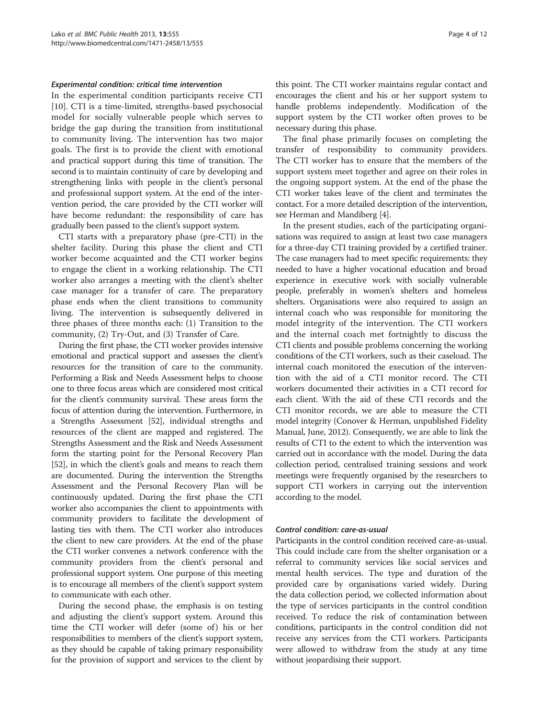#### Experimental condition: critical time intervention

In the experimental condition participants receive CTI [[10\]](#page-9-0). CTI is a time-limited, strengths-based psychosocial model for socially vulnerable people which serves to bridge the gap during the transition from institutional to community living. The intervention has two major goals. The first is to provide the client with emotional and practical support during this time of transition. The second is to maintain continuity of care by developing and strengthening links with people in the client's personal and professional support system. At the end of the intervention period, the care provided by the CTI worker will have become redundant: the responsibility of care has gradually been passed to the client's support system.

CTI starts with a preparatory phase (pre-CTI) in the shelter facility. During this phase the client and CTI worker become acquainted and the CTI worker begins to engage the client in a working relationship. The CTI worker also arranges a meeting with the client's shelter case manager for a transfer of care. The preparatory phase ends when the client transitions to community living. The intervention is subsequently delivered in three phases of three months each: (1) Transition to the community, (2) Try-Out, and (3) Transfer of Care.

During the first phase, the CTI worker provides intensive emotional and practical support and assesses the client's resources for the transition of care to the community. Performing a Risk and Needs Assessment helps to choose one to three focus areas which are considered most critical for the client's community survival. These areas form the focus of attention during the intervention. Furthermore, in a Strengths Assessment [[52](#page-10-0)], individual strengths and resources of the client are mapped and registered. The Strengths Assessment and the Risk and Needs Assessment form the starting point for the Personal Recovery Plan [[52](#page-10-0)], in which the client's goals and means to reach them are documented. During the intervention the Strengths Assessment and the Personal Recovery Plan will be continuously updated. During the first phase the CTI worker also accompanies the client to appointments with community providers to facilitate the development of lasting ties with them. The CTI worker also introduces the client to new care providers. At the end of the phase the CTI worker convenes a network conference with the community providers from the client's personal and professional support system. One purpose of this meeting is to encourage all members of the client's support system to communicate with each other.

During the second phase, the emphasis is on testing and adjusting the client's support system. Around this time the CTI worker will defer (some of) his or her responsibilities to members of the client's support system, as they should be capable of taking primary responsibility for the provision of support and services to the client by

this point. The CTI worker maintains regular contact and encourages the client and his or her support system to handle problems independently. Modification of the support system by the CTI worker often proves to be necessary during this phase.

The final phase primarily focuses on completing the transfer of responsibility to community providers. The CTI worker has to ensure that the members of the support system meet together and agree on their roles in the ongoing support system. At the end of the phase the CTI worker takes leave of the client and terminates the contact. For a more detailed description of the intervention, see Herman and Mandiberg [\[4](#page-9-0)].

In the present studies, each of the participating organisations was required to assign at least two case managers for a three-day CTI training provided by a certified trainer. The case managers had to meet specific requirements: they needed to have a higher vocational education and broad experience in executive work with socially vulnerable people, preferably in women's shelters and homeless shelters. Organisations were also required to assign an internal coach who was responsible for monitoring the model integrity of the intervention. The CTI workers and the internal coach met fortnightly to discuss the CTI clients and possible problems concerning the working conditions of the CTI workers, such as their caseload. The internal coach monitored the execution of the intervention with the aid of a CTI monitor record. The CTI workers documented their activities in a CTI record for each client. With the aid of these CTI records and the CTI monitor records, we are able to measure the CTI model integrity (Conover & Herman, unpublished Fidelity Manual, June, 2012). Consequently, we are able to link the results of CTI to the extent to which the intervention was carried out in accordance with the model. During the data collection period, centralised training sessions and work meetings were frequently organised by the researchers to support CTI workers in carrying out the intervention according to the model.

#### Control condition: care-as-usual

Participants in the control condition received care-as-usual. This could include care from the shelter organisation or a referral to community services like social services and mental health services. The type and duration of the provided care by organisations varied widely. During the data collection period, we collected information about the type of services participants in the control condition received. To reduce the risk of contamination between conditions, participants in the control condition did not receive any services from the CTI workers. Participants were allowed to withdraw from the study at any time without jeopardising their support.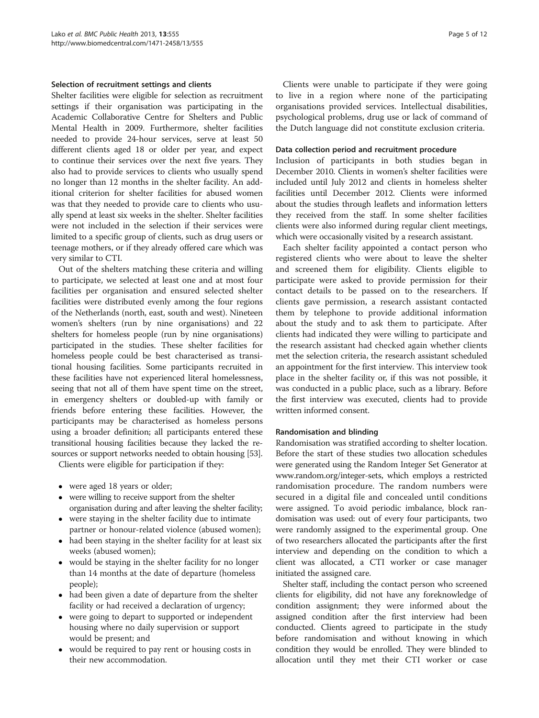#### Selection of recruitment settings and clients

Shelter facilities were eligible for selection as recruitment settings if their organisation was participating in the Academic Collaborative Centre for Shelters and Public Mental Health in 2009. Furthermore, shelter facilities needed to provide 24-hour services, serve at least 50 different clients aged 18 or older per year, and expect to continue their services over the next five years. They also had to provide services to clients who usually spend no longer than 12 months in the shelter facility. An additional criterion for shelter facilities for abused women was that they needed to provide care to clients who usually spend at least six weeks in the shelter. Shelter facilities were not included in the selection if their services were limited to a specific group of clients, such as drug users or teenage mothers, or if they already offered care which was very similar to CTI.

Out of the shelters matching these criteria and willing to participate, we selected at least one and at most four facilities per organisation and ensured selected shelter facilities were distributed evenly among the four regions of the Netherlands (north, east, south and west). Nineteen women's shelters (run by nine organisations) and 22 shelters for homeless people (run by nine organisations) participated in the studies. These shelter facilities for homeless people could be best characterised as transitional housing facilities. Some participants recruited in these facilities have not experienced literal homelessness, seeing that not all of them have spent time on the street, in emergency shelters or doubled-up with family or friends before entering these facilities. However, the participants may be characterised as homeless persons using a broader definition; all participants entered these transitional housing facilities because they lacked the re-sources or support networks needed to obtain housing [[53](#page-10-0)].

Clients were eligible for participation if they:

- were aged 18 years or older;
- were willing to receive support from the shelter organisation during and after leaving the shelter facility;
- were staying in the shelter facility due to intimate partner or honour-related violence (abused women);
- had been staying in the shelter facility for at least six weeks (abused women);
- would be staying in the shelter facility for no longer than 14 months at the date of departure (homeless people);
- had been given a date of departure from the shelter facility or had received a declaration of urgency;
- were going to depart to supported or independent housing where no daily supervision or support would be present; and
- would be required to pay rent or housing costs in their new accommodation.

Clients were unable to participate if they were going to live in a region where none of the participating organisations provided services. Intellectual disabilities, psychological problems, drug use or lack of command of the Dutch language did not constitute exclusion criteria.

#### Data collection period and recruitment procedure

Inclusion of participants in both studies began in December 2010. Clients in women's shelter facilities were included until July 2012 and clients in homeless shelter facilities until December 2012. Clients were informed about the studies through leaflets and information letters they received from the staff. In some shelter facilities clients were also informed during regular client meetings, which were occasionally visited by a research assistant.

Each shelter facility appointed a contact person who registered clients who were about to leave the shelter and screened them for eligibility. Clients eligible to participate were asked to provide permission for their contact details to be passed on to the researchers. If clients gave permission, a research assistant contacted them by telephone to provide additional information about the study and to ask them to participate. After clients had indicated they were willing to participate and the research assistant had checked again whether clients met the selection criteria, the research assistant scheduled an appointment for the first interview. This interview took place in the shelter facility or, if this was not possible, it was conducted in a public place, such as a library. Before the first interview was executed, clients had to provide written informed consent.

#### Randomisation and blinding

Randomisation was stratified according to shelter location. Before the start of these studies two allocation schedules were generated using the Random Integer Set Generator at [www.random.org/integer-sets,](http://www.random.org/integer-sets) which employs a restricted randomisation procedure. The random numbers were secured in a digital file and concealed until conditions were assigned. To avoid periodic imbalance, block randomisation was used: out of every four participants, two were randomly assigned to the experimental group. One of two researchers allocated the participants after the first interview and depending on the condition to which a client was allocated, a CTI worker or case manager initiated the assigned care.

Shelter staff, including the contact person who screened clients for eligibility, did not have any foreknowledge of condition assignment; they were informed about the assigned condition after the first interview had been conducted. Clients agreed to participate in the study before randomisation and without knowing in which condition they would be enrolled. They were blinded to allocation until they met their CTI worker or case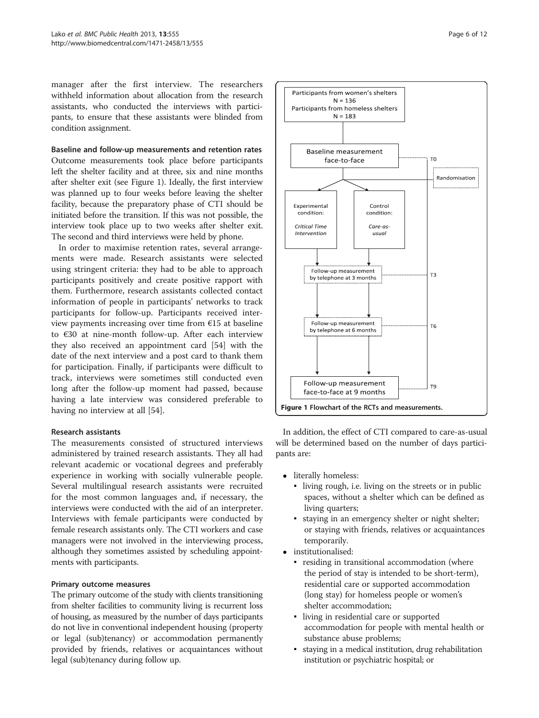manager after the first interview. The researchers withheld information about allocation from the research assistants, who conducted the interviews with participants, to ensure that these assistants were blinded from condition assignment.

# Baseline and follow-up measurements and retention rates

Outcome measurements took place before participants left the shelter facility and at three, six and nine months after shelter exit (see Figure 1). Ideally, the first interview was planned up to four weeks before leaving the shelter facility, because the preparatory phase of CTI should be initiated before the transition. If this was not possible, the interview took place up to two weeks after shelter exit. The second and third interviews were held by phone.

In order to maximise retention rates, several arrangements were made. Research assistants were selected using stringent criteria: they had to be able to approach participants positively and create positive rapport with them. Furthermore, research assistants collected contact information of people in participants' networks to track participants for follow-up. Participants received interview payments increasing over time from €15 at baseline to €30 at nine-month follow-up. After each interview they also received an appointment card [[54\]](#page-10-0) with the date of the next interview and a post card to thank them for participation. Finally, if participants were difficult to track, interviews were sometimes still conducted even long after the follow-up moment had passed, because having a late interview was considered preferable to having no interview at all [[54\]](#page-10-0).

#### Research assistants

The measurements consisted of structured interviews administered by trained research assistants. They all had relevant academic or vocational degrees and preferably experience in working with socially vulnerable people. Several multilingual research assistants were recruited for the most common languages and, if necessary, the interviews were conducted with the aid of an interpreter. Interviews with female participants were conducted by female research assistants only. The CTI workers and case managers were not involved in the interviewing process, although they sometimes assisted by scheduling appointments with participants.

# Primary outcome measures

The primary outcome of the study with clients transitioning from shelter facilities to community living is recurrent loss of housing, as measured by the number of days participants do not live in conventional independent housing (property or legal (sub)tenancy) or accommodation permanently provided by friends, relatives or acquaintances without legal (sub)tenancy during follow up.



In addition, the effect of CTI compared to care-as-usual will be determined based on the number of days participants are:

- literally homeless:
	- living rough, i.e. living on the streets or in public spaces, without a shelter which can be defined as living quarters;
	- staying in an emergency shelter or night shelter; or staying with friends, relatives or acquaintances temporarily.
- institutionalised:
	- residing in transitional accommodation (where the period of stay is intended to be short-term), residential care or supported accommodation (long stay) for homeless people or women's shelter accommodation;
	- living in residential care or supported accommodation for people with mental health or substance abuse problems;
	- staying in a medical institution, drug rehabilitation institution or psychiatric hospital; or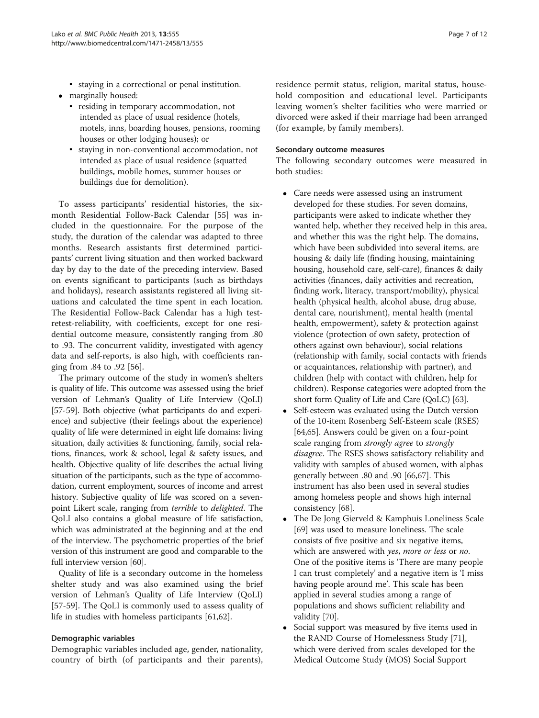- staying in a correctional or penal institution.
- marginally housed:
	- residing in temporary accommodation, not intended as place of usual residence (hotels, motels, inns, boarding houses, pensions, rooming houses or other lodging houses); or
	- staying in non-conventional accommodation, not intended as place of usual residence (squatted buildings, mobile homes, summer houses or buildings due for demolition).

To assess participants' residential histories, the sixmonth Residential Follow-Back Calendar [\[55\]](#page-10-0) was included in the questionnaire. For the purpose of the study, the duration of the calendar was adapted to three months. Research assistants first determined participants' current living situation and then worked backward day by day to the date of the preceding interview. Based on events significant to participants (such as birthdays and holidays), research assistants registered all living situations and calculated the time spent in each location. The Residential Follow-Back Calendar has a high testretest-reliability, with coefficients, except for one residential outcome measure, consistently ranging from .80 to .93. The concurrent validity, investigated with agency data and self-reports, is also high, with coefficients ranging from .84 to .92 [\[56\]](#page-10-0).

The primary outcome of the study in women's shelters is quality of life. This outcome was assessed using the brief version of Lehman's Quality of Life Interview (QoLI) [[57](#page-10-0)-[59\]](#page-10-0). Both objective (what participants do and experience) and subjective (their feelings about the experience) quality of life were determined in eight life domains: living situation, daily activities & functioning, family, social relations, finances, work & school, legal & safety issues, and health. Objective quality of life describes the actual living situation of the participants, such as the type of accommodation, current employment, sources of income and arrest history. Subjective quality of life was scored on a sevenpoint Likert scale, ranging from terrible to delighted. The QoLI also contains a global measure of life satisfaction, which was administrated at the beginning and at the end of the interview. The psychometric properties of the brief version of this instrument are good and comparable to the full interview version [\[60](#page-10-0)].

Quality of life is a secondary outcome in the homeless shelter study and was also examined using the brief version of Lehman's Quality of Life Interview (QoLI) [[57-59](#page-10-0)]. The QoLI is commonly used to assess quality of life in studies with homeless participants [[61](#page-10-0),[62](#page-10-0)].

# Demographic variables

Demographic variables included age, gender, nationality, country of birth (of participants and their parents), residence permit status, religion, marital status, household composition and educational level. Participants leaving women's shelter facilities who were married or divorced were asked if their marriage had been arranged (for example, by family members).

# Secondary outcome measures

The following secondary outcomes were measured in both studies:

- Care needs were assessed using an instrument developed for these studies. For seven domains, participants were asked to indicate whether they wanted help, whether they received help in this area, and whether this was the right help. The domains, which have been subdivided into several items, are housing & daily life (finding housing, maintaining housing, household care, self-care), finances & daily activities (finances, daily activities and recreation, finding work, literacy, transport/mobility), physical health (physical health, alcohol abuse, drug abuse, dental care, nourishment), mental health (mental health, empowerment), safety & protection against violence (protection of own safety, protection of others against own behaviour), social relations (relationship with family, social contacts with friends or acquaintances, relationship with partner), and children (help with contact with children, help for children). Response categories were adopted from the short form Quality of Life and Care (QoLC) [\[63\]](#page-10-0).
- Self-esteem was evaluated using the Dutch version of the 10-item Rosenberg Self-Esteem scale (RSES) [[64](#page-10-0),[65](#page-10-0)]. Answers could be given on a four-point scale ranging from strongly agree to strongly disagree. The RSES shows satisfactory reliability and validity with samples of abused women, with alphas generally between .80 and .90 [[66](#page-11-0),[67](#page-11-0)]. This instrument has also been used in several studies among homeless people and shows high internal consistency [[68\]](#page-11-0).
- The De Jong Gierveld & Kamphuis Loneliness Scale [[69](#page-11-0)] was used to measure loneliness. The scale consists of five positive and six negative items, which are answered with *yes, more or less* or *no*. One of the positive items is 'There are many people I can trust completely' and a negative item is 'I miss having people around me'. This scale has been applied in several studies among a range of populations and shows sufficient reliability and validity [[70](#page-11-0)].
- Social support was measured by five items used in the RAND Course of Homelessness Study [\[71\]](#page-11-0), which were derived from scales developed for the Medical Outcome Study (MOS) Social Support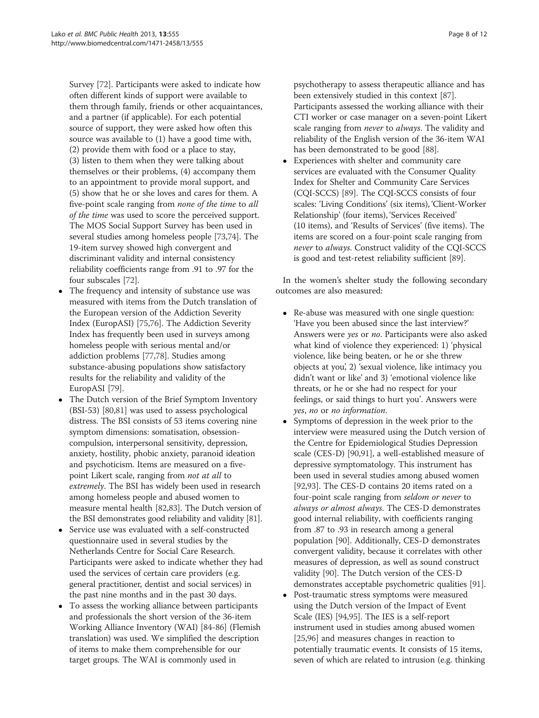Survey [[72\]](#page-11-0). Participants were asked to indicate how often different kinds of support were available to them through family, friends or other acquaintances, and a partner (if applicable). For each potential source of support, they were asked how often this source was available to (1) have a good time with, (2) provide them with food or a place to stay, (3) listen to them when they were talking about themselves or their problems, (4) accompany them to an appointment to provide moral support, and (5) show that he or she loves and cares for them. A five-point scale ranging from none of the time to all of the time was used to score the perceived support. The MOS Social Support Survey has been used in several studies among homeless people [[73,74](#page-11-0)]. The 19-item survey showed high convergent and discriminant validity and internal consistency reliability coefficients range from .91 to .97 for the four subscales [\[72\]](#page-11-0).

- The frequency and intensity of substance use was measured with items from the Dutch translation of the European version of the Addiction Severity Index (EuropASI) [\[75,76\]](#page-11-0). The Addiction Severity Index has frequently been used in surveys among homeless people with serious mental and/or addiction problems [\[77,78\]](#page-11-0). Studies among substance-abusing populations show satisfactory results for the reliability and validity of the EuropASI [\[79\]](#page-11-0).
- The Dutch version of the Brief Symptom Inventory (BSI-53) [\[80,81](#page-11-0)] was used to assess psychological distress. The BSI consists of 53 items covering nine symptom dimensions: somatisation, obsessioncompulsion, interpersonal sensitivity, depression, anxiety, hostility, phobic anxiety, paranoid ideation and psychoticism. Items are measured on a fivepoint Likert scale, ranging from *not at all* to extremely. The BSI has widely been used in research among homeless people and abused women to measure mental health [[82](#page-11-0),[83](#page-11-0)]. The Dutch version of the BSI demonstrates good reliability and validity [\[81\]](#page-11-0).
- Service use was evaluated with a self-constructed questionnaire used in several studies by the Netherlands Centre for Social Care Research. Participants were asked to indicate whether they had used the services of certain care providers (e.g. general practitioner, dentist and social services) in the past nine months and in the past 30 days.
- To assess the working alliance between participants and professionals the short version of the 36-item Working Alliance Inventory (WAI) [[84-86\]](#page-11-0) (Flemish translation) was used. We simplified the description of items to make them comprehensible for our target groups. The WAI is commonly used in

psychotherapy to assess therapeutic alliance and has been extensively studied in this context [\[87](#page-11-0)]. Participants assessed the working alliance with their CTI worker or case manager on a seven-point Likert scale ranging from *never* to *always*. The validity and reliability of the English version of the 36-item WAI has been demonstrated to be good [\[88\]](#page-11-0).

 Experiences with shelter and community care services are evaluated with the Consumer Quality Index for Shelter and Community Care Services (CQI-SCCS) [[89\]](#page-11-0). The CQI-SCCS consists of four scales: 'Living Conditions' (six items), 'Client-Worker Relationship' (four items), 'Services Received' (10 items), and 'Results of Services' (five items). The items are scored on a four-point scale ranging from never to always. Construct validity of the CQI-SCCS is good and test-retest reliability sufficient [[89](#page-11-0)].

In the women's shelter study the following secondary outcomes are also measured:

- Re-abuse was measured with one single question: 'Have you been abused since the last interview?' Answers were yes or no. Participants were also asked what kind of violence they experienced: 1) 'physical violence, like being beaten, or he or she threw objects at you', 2) 'sexual violence, like intimacy you didn't want or like' and 3) 'emotional violence like threats, or he or she had no respect for your feelings, or said things to hurt you'. Answers were yes, no or no information.
- Symptoms of depression in the week prior to the interview were measured using the Dutch version of the Centre for Epidemiological Studies Depression scale (CES-D) [\[90,91\]](#page-11-0), a well-established measure of depressive symptomatology. This instrument has been used in several studies among abused women [[92](#page-11-0),[93](#page-11-0)]. The CES-D contains 20 items rated on a four-point scale ranging from seldom or never to always or almost always. The CES-D demonstrates good internal reliability, with coefficients ranging from .87 to .93 in research among a general population [[90\]](#page-11-0). Additionally, CES-D demonstrates convergent validity, because it correlates with other measures of depression, as well as sound construct validity [[90](#page-11-0)]. The Dutch version of the CES-D demonstrates acceptable psychometric qualities [\[91\]](#page-11-0).
- Post-traumatic stress symptoms were measured using the Dutch version of the Impact of Event Scale (IES) [[94,95](#page-11-0)]. The IES is a self-report instrument used in studies among abused women [[25](#page-10-0),[96](#page-11-0)] and measures changes in reaction to potentially traumatic events. It consists of 15 items, seven of which are related to intrusion (e.g. thinking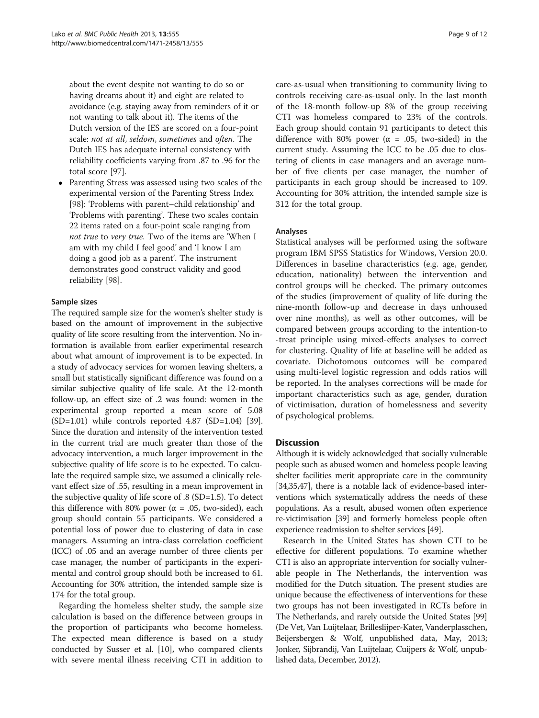about the event despite not wanting to do so or having dreams about it) and eight are related to avoidance (e.g. staying away from reminders of it or not wanting to talk about it). The items of the Dutch version of the IES are scored on a four-point scale: not at all, seldom, sometimes and often. The Dutch IES has adequate internal consistency with reliability coefficients varying from .87 to .96 for the total score [[97\]](#page-11-0).

 Parenting Stress was assessed using two scales of the experimental version of the Parenting Stress Index [[98](#page-11-0)]: 'Problems with parent–child relationship' and 'Problems with parenting'. These two scales contain 22 items rated on a four-point scale ranging from not true to very true. Two of the items are 'When I am with my child I feel good' and 'I know I am doing a good job as a parent'. The instrument demonstrates good construct validity and good reliability [[98\]](#page-11-0).

## Sample sizes

The required sample size for the women's shelter study is based on the amount of improvement in the subjective quality of life score resulting from the intervention. No information is available from earlier experimental research about what amount of improvement is to be expected. In a study of advocacy services for women leaving shelters, a small but statistically significant difference was found on a similar subjective quality of life scale. At the 12-month follow-up, an effect size of .2 was found: women in the experimental group reported a mean score of 5.08  $(SD=1.01)$  while controls reported 4.87  $(SD=1.04)$  [[39](#page-10-0)]. Since the duration and intensity of the intervention tested in the current trial are much greater than those of the advocacy intervention, a much larger improvement in the subjective quality of life score is to be expected. To calculate the required sample size, we assumed a clinically relevant effect size of .55, resulting in a mean improvement in the subjective quality of life score of .8 (SD=1.5). To detect this difference with 80% power ( $α = .05$ , two-sided), each group should contain 55 participants. We considered a potential loss of power due to clustering of data in case managers. Assuming an intra-class correlation coefficient (ICC) of .05 and an average number of three clients per case manager, the number of participants in the experimental and control group should both be increased to 61. Accounting for 30% attrition, the intended sample size is 174 for the total group.

Regarding the homeless shelter study, the sample size calculation is based on the difference between groups in the proportion of participants who become homeless. The expected mean difference is based on a study conducted by Susser et al. [\[10](#page-9-0)], who compared clients with severe mental illness receiving CTI in addition to care-as-usual when transitioning to community living to controls receiving care-as-usual only. In the last month of the 18-month follow-up 8% of the group receiving CTI was homeless compared to 23% of the controls. Each group should contain 91 participants to detect this difference with 80% power ( $\alpha$  = .05, two-sided) in the current study. Assuming the ICC to be .05 due to clustering of clients in case managers and an average number of five clients per case manager, the number of participants in each group should be increased to 109. Accounting for 30% attrition, the intended sample size is 312 for the total group.

## Analyses

Statistical analyses will be performed using the software program IBM SPSS Statistics for Windows, Version 20.0. Differences in baseline characteristics (e.g. age, gender, education, nationality) between the intervention and control groups will be checked. The primary outcomes of the studies (improvement of quality of life during the nine-month follow-up and decrease in days unhoused over nine months), as well as other outcomes, will be compared between groups according to the intention-to -treat principle using mixed-effects analyses to correct for clustering. Quality of life at baseline will be added as covariate. Dichotomous outcomes will be compared using multi-level logistic regression and odds ratios will be reported. In the analyses corrections will be made for important characteristics such as age, gender, duration of victimisation, duration of homelessness and severity of psychological problems.

#### **Discussion**

Although it is widely acknowledged that socially vulnerable people such as abused women and homeless people leaving shelter facilities merit appropriate care in the community [[34,35,47](#page-10-0)], there is a notable lack of evidence-based interventions which systematically address the needs of these populations. As a result, abused women often experience re-victimisation [[39](#page-10-0)] and formerly homeless people often experience readmission to shelter services [\[49\]](#page-10-0).

Research in the United States has shown CTI to be effective for different populations. To examine whether CTI is also an appropriate intervention for socially vulnerable people in The Netherlands, the intervention was modified for the Dutch situation. The present studies are unique because the effectiveness of interventions for these two groups has not been investigated in RCTs before in The Netherlands, and rarely outside the United States [\[99](#page-11-0)] (De Vet, Van Luijtelaar, Brilleslijper-Kater, Vanderplasschen, Beijersbergen & Wolf, unpublished data, May, 2013; Jonker, Sijbrandij, Van Luijtelaar, Cuijpers & Wolf, unpublished data, December, 2012).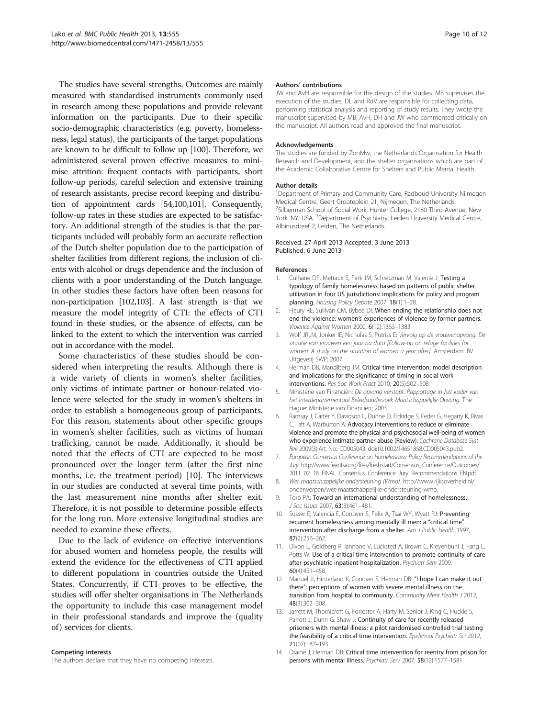<span id="page-9-0"></span>The studies have several strengths. Outcomes are mainly measured with standardised instruments commonly used in research among these populations and provide relevant information on the participants. Due to their specific socio-demographic characteristics (e.g. poverty, homelessness, legal status), the participants of the target populations are known to be difficult to follow up [\[100](#page-11-0)]. Therefore, we administered several proven effective measures to minimise attrition: frequent contacts with participants, short follow-up periods, careful selection and extensive training of research assistants, precise record keeping and distribution of appointment cards [[54](#page-10-0)[,100](#page-11-0),[101\]](#page-11-0). Consequently, follow-up rates in these studies are expected to be satisfactory. An additional strength of the studies is that the participants included will probably form an accurate reflection of the Dutch shelter population due to the participation of shelter facilities from different regions, the inclusion of clients with alcohol or drugs dependence and the inclusion of clients with a poor understanding of the Dutch language. In other studies these factors have often been reasons for non-participation [\[102,103\]](#page-11-0). A last strength is that we measure the model integrity of CTI: the effects of CTI found in these studies, or the absence of effects, can be linked to the extent to which the intervention was carried out in accordance with the model.

Some characteristics of these studies should be considered when interpreting the results. Although there is a wide variety of clients in women's shelter facilities, only victims of intimate partner or honour-related violence were selected for the study in women's shelters in order to establish a homogeneous group of participants. For this reason, statements about other specific groups in women's shelter facilities, such as victims of human trafficking, cannot be made. Additionally, it should be noted that the effects of CTI are expected to be most pronounced over the longer term (after the first nine months, i.e. the treatment period) [10]. The interviews in our studies are conducted at several time points, with the last measurement nine months after shelter exit. Therefore, it is not possible to determine possible effects for the long run. More extensive longitudinal studies are needed to examine these effects.

Due to the lack of evidence on effective interventions for abused women and homeless people, the results will extend the evidence for the effectiveness of CTI applied to different populations in countries outside the United States. Concurrently, if CTI proves to be effective, the studies will offer shelter organisations in The Netherlands the opportunity to include this case management model in their professional standards and improve the (quality of) services for clients.

#### Competing interests

The authors declare that they have no competing interests.

#### Authors' contributions

JW and AvH are responsible for the design of the studies. MB supervises the execution of the studies. DL and RdV are responsible for collecting data, performing statistical analysis and reporting of study results. They wrote the manuscript supervised by MB, AvH, DH and JW who commented critically on the manuscript. All authors read and approved the final manuscript.

#### Acknowledgements

The studies are funded by ZonMw, the Netherlands Organisation for Health Research and Development, and the shelter organisations which are part of the Academic Collaborative Centre for Shelters and Public Mental Health.

#### Author details

<sup>1</sup>Department of Primary and Community Care, Radboud University Nijmegen Medical Centre, Geert Grooteplein 21, Nijmegen, The Netherlands. <sup>2</sup>Silberman School of Social Work, Hunter College, 2180 Third Avenue, New York, NY, USA. <sup>3</sup>Department of Psychiatry, Leiden University Medical Centre Albinusdreef 2, Leiden, The Netherlands.

#### Received: 27 April 2013 Accepted: 3 June 2013 Published: 6 June 2013

#### References

- 1. Culhane DP, Metraux S, Park JM, Schretzman M, Valente J: Testing a typology of family homelessness based on patterns of public shelter utilization in four US jurisdictions: implications for policy and program planning. Housing Policy Debate 2007, 18(1):1–28.
- 2. Fleury RE, Sullivan CM, Bybee DI: When ending the relationship does not end the violence: women's experiences of violence by former partners. Violence Against Women 2000, 6(12):1363–1383.
- 3. Wolf JRLM, Jonker IE, Nicholas S, Putriss E: Vervolg op de vrouwenopvang. De situatie van vrouwen een jaar na dato [Follow-up on refuge facilities for women: A study on the situation of women a year after]. Amsterdam: BV Uitgeverij SWP; 2007.
- 4. Herman DB, Mandiberg JM: Critical time intervention: model description and implications for the significance of timing in social work interventions. Res Soc Work Pract 2010, 20(5):502–508.
- 5. Ministerie van Financiën: De opvang verstopt. Rapportage in het kader van het Interdepartementaal Beleidsonderzoek Maatschappelijke Opvang. The Hague: Ministerie van Financiën; 2003.
- 6. Ramsay J, Carter Y, Davidson L, Dunne D, Eldridge S, Feder G, Hegarty K, Rivas C, Taft A, Warburton A: Advocacy interventions to reduce or eliminate violence and promote the physical and psychosocial well-being of women who experience intimate partner abuse (Review). Cochrane Database Syst Rev 2009(3):Art. No.: CD005043. doi:[10.1002/14651858.CD005043.pub2.](http://dx.doi.org/10.1002/14651858.CD005043.pub2)
- 7. European Consensus Conference on Homelessness: Policy Recommendations of the Jury. [http://www.feantsa.org/files/freshstart/Consensus\\_Conference/Outcomes/](http://www.feantsa.org/files/freshstart/Consensus_Conference/Outcomes/2011_02_16_FINAL_Consensus_Conference_Jury_Recommendations_EN.pdf) [2011\\_02\\_16\\_FINAL\\_Consensus\\_Conference\\_Jury\\_Recommendations\\_EN.pdf](http://www.feantsa.org/files/freshstart/Consensus_Conference/Outcomes/2011_02_16_FINAL_Consensus_Conference_Jury_Recommendations_EN.pdf).
- 8. Wet maatschappelijke ondersteuning (Wmo). [http://www.rijksoverheid.nl/](http://www.rijksoverheid.nl/onderwerpen/wet-maatschappelijke-ondersteuning-wmo) [onderwerpen/wet-maatschappelijke-ondersteuning-wmo.](http://www.rijksoverheid.nl/onderwerpen/wet-maatschappelijke-ondersteuning-wmo)
- 9. Toro PA: Toward an international understanding of homelessness. J Soc Issues 2007, 63(3):461–481.
- 10. Susser E, Valencia E, Conover S, Felix A, Tsai WY, Wyatt RJ: Preventing recurrent homelessness among mentally ill men: a "critical time" intervention after discharge from a shelter. Am J Public Health 1997, 87(2):256–262.
- 11. Dixon L, Goldberg R, Iannone V, Lucksted A, Brown C, Kreyenbuhl J, Fang L, Potts W: Use of a critical time intervention to promote continuity of care after psychiatric inpatient hospitalization. Psychiatr Serv 2009, 60(4):451–458.
- 12. Manuel JI, Hinterland K, Conover S, Herman DB: "I hope I can make it out there": perceptions of women with severe mental illness on the transition from hospital to community. Community Ment Health J 2012, 48(3):302–308.
- 13. Jarrett M, Thornicroft G, Forrester A, Harty M, Senior J, King C, Huckle S, Parrott J, Dunn G, Shaw J: Continuity of care for recently released prisoners with mental illness: a pilot randomised controlled trial testing the feasibility of a critical time intervention. Epidemiol Psychiatr Sci 2012, 21(02):187–193.
- 14. Draine J, Herman DB: Critical time intervention for reentry from prison for persons with mental illness. Psychiatr Serv 2007, 58(12):1577–1581.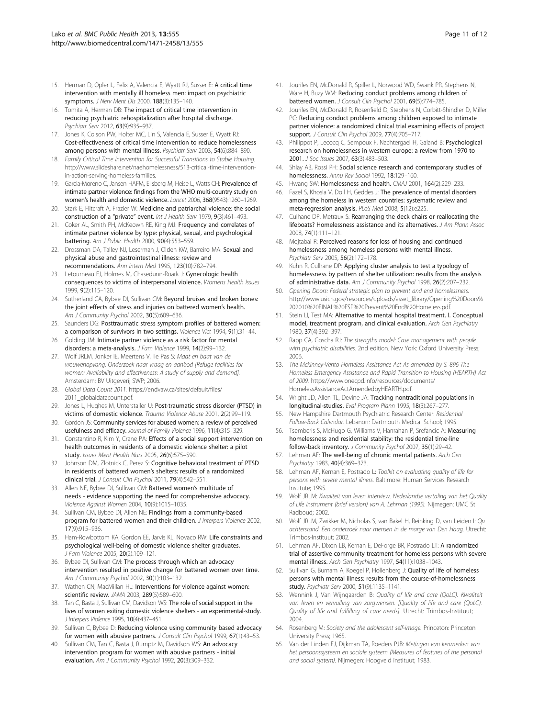- <span id="page-10-0"></span>15. Herman D, Opler L, Felix A, Valencia E, Wyatt RJ, Susser E: A critical time intervention with mentally ill homeless men: impact on psychiatric symptoms. J Nerv Ment Dis 2000, 188(3):135–140.
- 16. Tomita A, Herman DB: The impact of critical time intervention in reducing psychiatric rehospitalization after hospital discharge. Psychiatr Serv 2012, 63(9):935–937.
- 17. Jones K, Colson PW, Holter MC, Lin S, Valencia E, Susser E, Wyatt RJ: Cost-effectiveness of critical time intervention to reduce homelessness among persons with mental illness. Psychiatr Serv 2003, 54(6):884-890.
- 18. Family Critical Time Intervention for Successful Transitions to Stable Housing. [http://www.slideshare.net/naehomelessness/513-critical-time-intervention](http://www.slideshare.net/naehomelessness/513-critical-time-intervention-in-action-serving-homeless-families)[in-action-serving-homeless-families](http://www.slideshare.net/naehomelessness/513-critical-time-intervention-in-action-serving-homeless-families).
- 19. Garcia-Moreno C, Jansen HAFM, Ellsberg M, Heise L, Watts CH: Prevalence of intimate partner violence: findings from the WHO multi-country study on women's health and domestic violence. Lancet 2006, 368(9543):1260–1269.
- 20. Stark E, Flitcraft A, Frazier W: Medicine and patriarchal violence: the social construction of a "private" event. Int J Health Serv 1979, 9(3):461-493.
- 21. Coker AL, Smith PH, McKeown RE, King MJ: Frequency and correlates of intimate partner violence by type: physical, sexual, and psychological battering. Am J Public Health 2000, 90(4):553–559.
- 22. Drossman DA, Talley NJ, Leserman J, Olden KW, Barreiro MA: Sexual and physical abuse and gastrointestinal illness: review and recommendations. Ann Intern Med 1995, 123(10):782–794.
- 23. Letourneau EJ, Holmes M, Chasedunn-Roark J: Gynecologic health consequences to victims of interpersonal violence. Womens Health Issues 1999, 9(2):115–120.
- 24. Sutherland CA, Bybee DI, Sullivan CM: Beyond bruises and broken bones: the joint effects of stress and injuries on battered women's health. Am J Community Psychol 2002, 30(5):609-636.
- 25. Saunders DG: Posttraumatic stress symptom profiles of battered women: a comparison of survivors in two settings. Violence Vict 1994, 9(1):31–44.
- 26. Golding JM: Intimate partner violence as a risk factor for mental disorders: a meta-analysis. J Fam Violence 1999, 14(2):99–132.
- 27. Wolf JRLM, Jonker IE, Meertens V, Te Pas S: Maat en baat van de vrouwenopvang. Onderzoek naar vraag en aanbod [Refuge facilities for women: Availability and effectiveness: A study of supply and demand]. Amsterdam: BV Uitgeverij SWP; 2006.
- 28. Global Data Count 2011. [https://endvaw.ca/sites/default/files/](https://endvaw.ca/sites/default/files/2011_globaldatacount.pdf) [2011\\_globaldatacount.pdf](https://endvaw.ca/sites/default/files/2011_globaldatacount.pdf).
- 29. Jones L, Hughes M, Unterstaller U: Post-traumatic stress disorder (PTSD) in victims of domestic violence. Trauma Violence Abuse 2001, 2(2):99–119.
- 30. Gordon JS: Community services for abused women: a review of perceived usefulness and efficacy. Journal of Family Violence 1996, 11(4):315–329.
- 31. Constantino R, Kim Y, Crane PA: Effects of a social support intervention on health outcomes in residents of a domestic violence shelter: a pilot study. Issues Ment Health Nurs 2005, 26(6):575–590.
- 32. Johnson DM, Zlotnick C, Perez S: Cognitive behavioral treatment of PTSD in residents of battered women's shelters: results of a randomized clinical trial. J Consult Clin Psychol 2011, 79(4):542–551.
- 33. Allen NE, Bybee DI, Sullivan CM: Battered women's multitude of needs - evidence supporting the need for comprehensive advocacy. Violence Against Women 2004, 10(9):1015–1035.
- 34. Sullivan CM, Bybee DI, Allen NE: Findings from a community-based program for battered women and their children. J Interpers Violence 2002, 17(9):915–936.
- 35. Ham-Rowbottom KA, Gordon EE, Jarvis KL, Novaco RW: Life constraints and psychological well-being of domestic violence shelter graduates. J Fam Violence 2005, 20(2):109–121.
- 36. Bybee DI, Sullivan CM: The process through which an advocacy intervention resulted in positive change for battered women over time. Am J Community Psychol 2002, 30(1):103-132.
- 37. Wathen CN, MacMillan HL: Interventions for violence against women: scientific review. JAMA 2003, 289(5):589–600.
- 38. Tan C, Basta J, Sullivan CM, Davidson WS: The role of social support in the lives of women exiting domestic violence shelters - an experimental-study. J Interpers Violence 1995, 10(4):437–451.
- 39. Sullivan C, Bybee D: Reducing violence using community based advocacy for women with abusive partners. J Consult Clin Psychol 1999, 67(1):43-53.
- 40. Sullivan CM, Tan C, Basta J, Rumptz M, Davidson WS: An advocacy intervention program for women with abusive partners - initial evaluation. Am J Community Psychol 1992, 20(3):309–332.
- 41. Jouriles EN, McDonald R, Spiller L, Norwood WD, Swank PR, Stephens N, Ware H, Buzy WM: Reducing conduct problems among children of battered women. J Consult Clin Psychol 2001, 69(5):774-785.
- 42. Jouriles EN, McDonald R, Rosenfield D, Stephens N, Corbitt-Shindler D, Miller PC: Reducing conduct problems among children exposed to intimate partner violence: a randomized clinical trial examining effects of project support. J Consult Clin Psychol 2009, 77(4):705–717.
- 43. Philippot P, Lecocq C, Sempoux F, Nachtergael H, Galand B: Psychological research on homelessness in western europe: a review from 1970 to 2001. J Soc Issues 2007, 63(3):483-503.
- Shlay AB, Rossi PH: Social science research and contemporary studies of homelessness. Annu Rev Sociol 1992, 18:129–160.
- 45. Hwang SW: Homelessness and health. CMAJ 2001, 164(2):229–233.
- 46. Fazel S, Khosla V, Doll H, Geddes J: The prevalence of mental disorders among the homeless in western countries: systematic review and meta-regression analysis. PLoS Med 2008, 5(12):e225.
- 47. Culhane DP, Metraux S: Rearranging the deck chairs or reallocating the lifeboats? Homelessness assistance and its alternatives. J Am Plann Assoc 2008, 74(1):111–121.
- 48. Mojtabai R: Perceived reasons for loss of housing and continued homelessness among homeless persons with mental illness. Psychiatr Serv 2005, 56(2):172–178.
- 49. Kuhn R, Culhane DP: Applying cluster analysis to test a typology of homelessness by pattern of shelter utilization: results from the analysis of administrative data. Am J Community Psychol 1998, 26(2):207–232.
- 50. Opening Doors: Federal strategic plan to prevent and end homelessness. [http://www.usich.gov/resources/uploads/asset\\_library/Opening%20Doors%](http://www.usich.gov/resources/uploads/asset_library/Opening%20Doors%202010%20FINAL%20FSP%20Prevent%20End%20Homeless.pdf) [202010%20FINAL%20FSP%20Prevent%20End%20Homeless.pdf.](http://www.usich.gov/resources/uploads/asset_library/Opening%20Doors%202010%20FINAL%20FSP%20Prevent%20End%20Homeless.pdf)
- 51. Stein LI, Test MA: Alternative to mental hospital treatment. I. Conceptual model, treatment program, and clinical evaluation. Arch Gen Psychiatry 1980, 37(4):392–397.
- 52. Rapp CA, Goscha RJ: The strengths model: Case management with people with psychiatric disabilities. 2nd edition. New York: Oxford University Press; 2006.
- 53. The Mckinney-Vento Homeless Assistance Act As amended by S. 896 The Homeless Emergency Assistance and Rapid Transition to Housing (HEARTH) Act of 2009. [https://www.onecpd.info/resources/documents/](https://www.onecpd.info/resources/documents/HomelessAssistanceActAmendedbyHEARTH.pdf) [HomelessAssistanceActAmendedbyHEARTH.pdf.](https://www.onecpd.info/resources/documents/HomelessAssistanceActAmendedbyHEARTH.pdf)
- 54. Wright JD, Allen TL, Devine JA: Tracking nontraditional populations in longitudinal-studies. Eval Program Plann 1995, 18(3):267–277.
- 55. New Hampshire Dartmouth Psychiatric Research Center: Residential Follow-Back Calendar. Lebanon: Dartmouth Medical School; 1995.
- 56. Tsemberis S, McHugo G, Williams V, Hanrahan P, Srefancic A: Measuring homelessness and residential stability: the residential time-line follow-back inventory. J Community Psychol 2007, 35(1):29–42.
- 57. Lehman AF: The well-being of chronic mental patients. Arch Gen Psychiatry 1983, 40(4):369-373.
- 58. Lehman AF, Kernan E, Postrado L: Toolkit on evaluating quality of life for persons with severe mental illness. Baltimore: Human Services Research Institute; 1995.
- 59. Wolf JRLM: Kwaliteit van leven interview. Nederlandse vertaling van het Quality of Life Instrument (brief version) van A. Lehman (1995). Nijmegen: UMC St Radboud; 2002.
- 60. Wolf JRLM, Zwikker M, Nicholas S, van Bakel H, Reinking D, van Leiden I: Op achterstand. Een onderzoek naar mensen in de marge van Den Haag. Utrecht: Trimbos-Instituut; 2002.
- 61. Lehman AF, Dixon LB, Kernan E, DeForge BR, Postrado LT: A randomized trial of assertive community treatment for homeless persons with severe mental illness. Arch Gen Psychiatry 1997, 54(11):1038–1043.
- 62. Sullivan G, Burnam A, Koegel P, Hollenberg J: Quality of life of homeless persons with mental illness: results from the course-of-homelessness study. Psychiatr Serv 2000, 51(9):1135–1141.
- 63. Wennink J, Van Wijngaarden B: Quality of life and care (QoLC). Kwaliteit van leven en vervulling van zorgwensen. [Quality of life and care (QoLC). Quality of life and fulfilling of care needs]. Utrecht: Trimbos-Instituut; 2004.
- 64. Rosenberg M: Society and the adolescent self-image. Princeton: Princeton University Press; 1965.
- 65. Van der Linden FJ, Dijkman TA, Roeders PJB: Metingen van kenmerken van het persoonssysteem en sociale systeem (Measures of features of the personal and social system). Nijmegen: Hoogveld instituut; 1983.